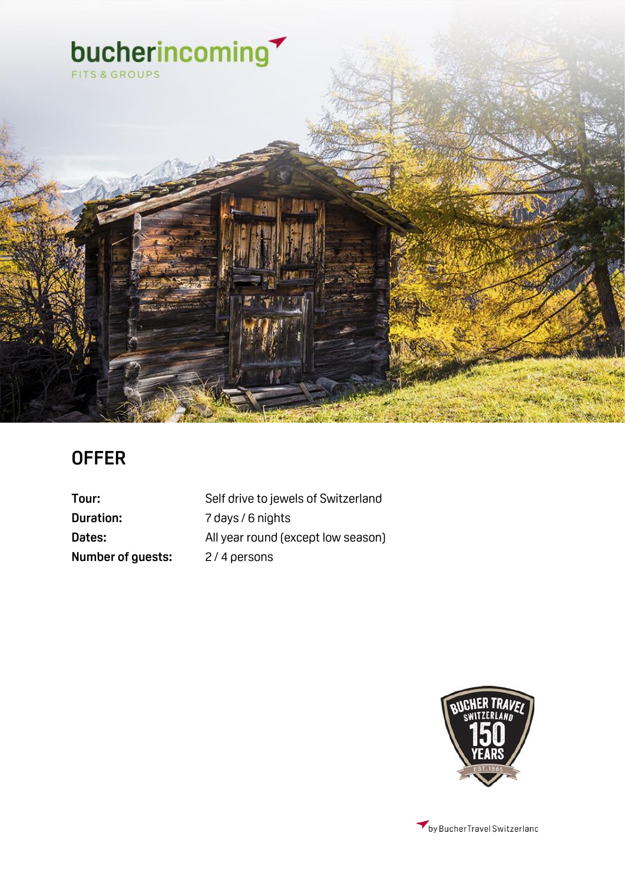

### **OFFER**

**Duration:** 7 days / 6 nights **Number of guests:** 2/4 persons

Tour: Self drive to jewels of Switzerland **Dates:** All year round (except low season)

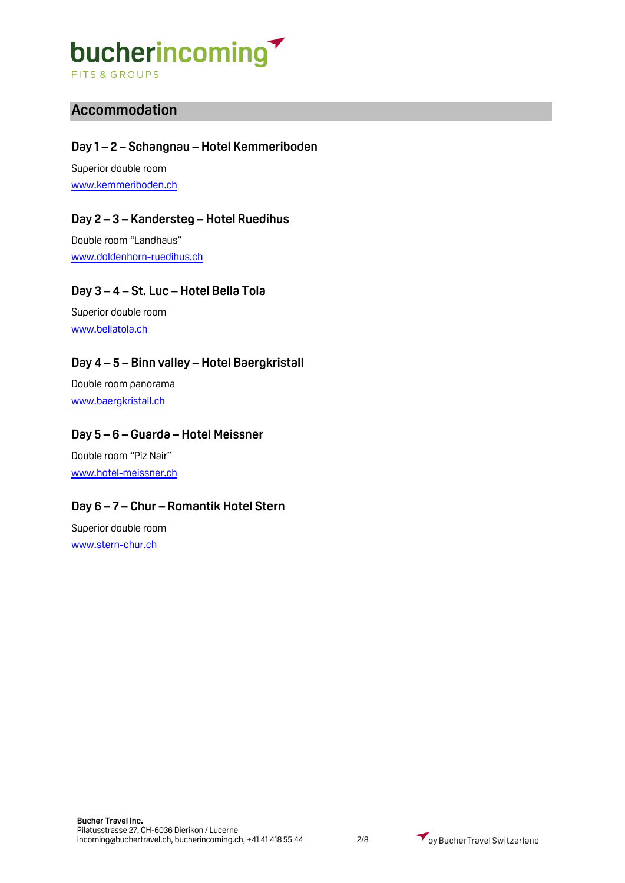**FITS & GROUPS** 

### **Accommodation**

### **Day 1 – 2 – Schangnau – Hotel Kemmeriboden**

Superior double room [www.kemmeriboden.ch](http://www.kemmeriboden.ch/)

### **Day 2 – 3 – Kandersteg – Hotel Ruedihus**

Double room "Landhaus" [www.doldenhorn-ruedihus.ch](http://www.doldenhorn-ruedihus.ch/)

### **Day 3 – 4 – St. Luc – Hotel Bella Tola**

Superior double room [www.bellatola.ch](http://www.bellatola.ch/)

### **Day 4 – 5 – Binn valley – Hotel Baergkristall**

Double room panorama [www.baergkristall.ch](http://www.baergkristall.ch/)

### **Day 5 – 6 – Guarda – Hotel Meissner**

Double room "Piz Nair" [www.hotel-meissner.ch](http://www.hotel-meissner.ch/)

### **Day 6 – 7 – Chur – Romantik Hotel Stern**

Superior double room [www.stern-chur.ch](http://www.stern-chur.ch/)

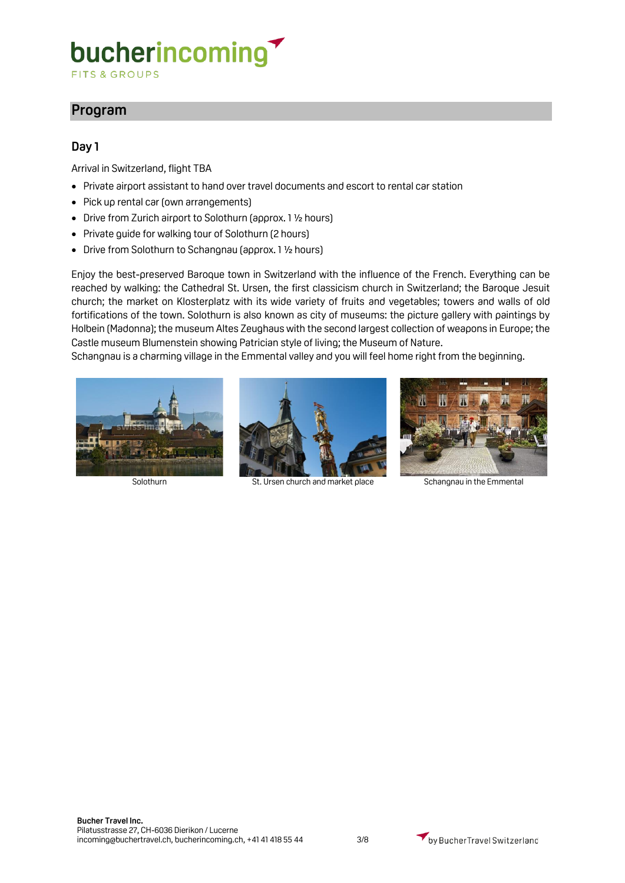**FITS & GROUPS** 

### **Program**

### **Day 1**

Arrival in Switzerland, flight TBA

- Private airport assistant to hand over travel documents and escort to rental car station
- Pick up rental car (own arrangements)
- Drive from Zurich airport to Solothurn (approx. 1 ½ hours)
- Private guide for walking tour of Solothurn (2 hours)
- Drive from Solothurn to Schangnau (approx. 1 1/2 hours)

Enjoy the best-preserved Baroque town in Switzerland with the influence of the French. Everything can be reached by walking: the Cathedral St. Ursen, the first classicism church in Switzerland; the Baroque Jesuit church; the market on Klosterplatz with its wide variety of fruits and vegetables; towers and walls of old fortifications of the town. Solothurn is also known as city of museums: the picture gallery with paintings by Holbein (Madonna); the museum Altes Zeughaus with the second largest collection of weapons in Europe; the Castle museum Blumenstein showing Patrician style of living; the Museum of Nature.

Schangnau is a charming village in the Emmental valley and you will feel home right from the beginning.





Solothurn St. Ursen church and market place Schangnau in the Emmental

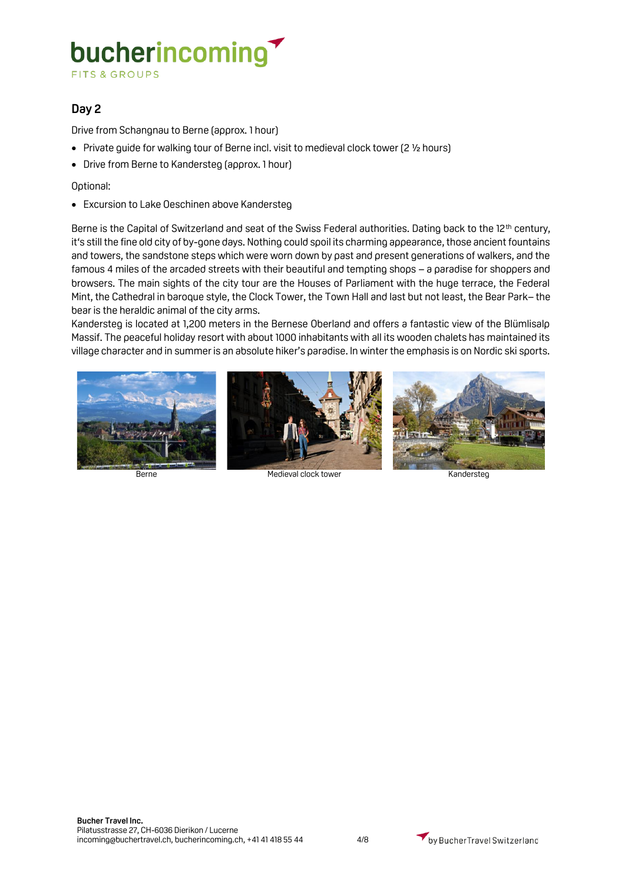**FITS & GROUPS** 

### **Day 2**

Drive from Schangnau to Berne (approx. 1 hour)

- Private guide for walking tour of Berne incl. visit to medieval clock tower (2 1/2 hours)
- Drive from Berne to Kandersteg (approx. 1 hour)

Optional:

• Excursion to Lake Oeschinen above Kandersteg

Berne is the Capital of Switzerland and seat of the Swiss Federal authorities. Dating back to the 12<sup>th</sup> century, it's still the fine old city of by-gone days. Nothing could spoil its charming appearance, those ancient fountains and towers, the sandstone steps which were worn down by past and present generations of walkers, and the famous 4 miles of the arcaded streets with their beautiful and tempting shops – a paradise for shoppers and browsers. The main sights of the city tour are the Houses of Parliament with the huge terrace, the Federal Mint, the Cathedral in baroque style, the Clock Tower, the Town Hall and last but not least, the Bear Park– the bear is the heraldic animal of the city arms.

Kandersteg is located at 1,200 meters in the Bernese Oberland and offers a fantastic view of the Blümlisalp Massif. The peaceful holiday resort with about 1000 inhabitants with all its wooden chalets has maintained its village character and in summer is an absolute hiker's paradise. In winter the emphasis is on Nordic ski sports.





Berne Medieval clock tower Kandersteg



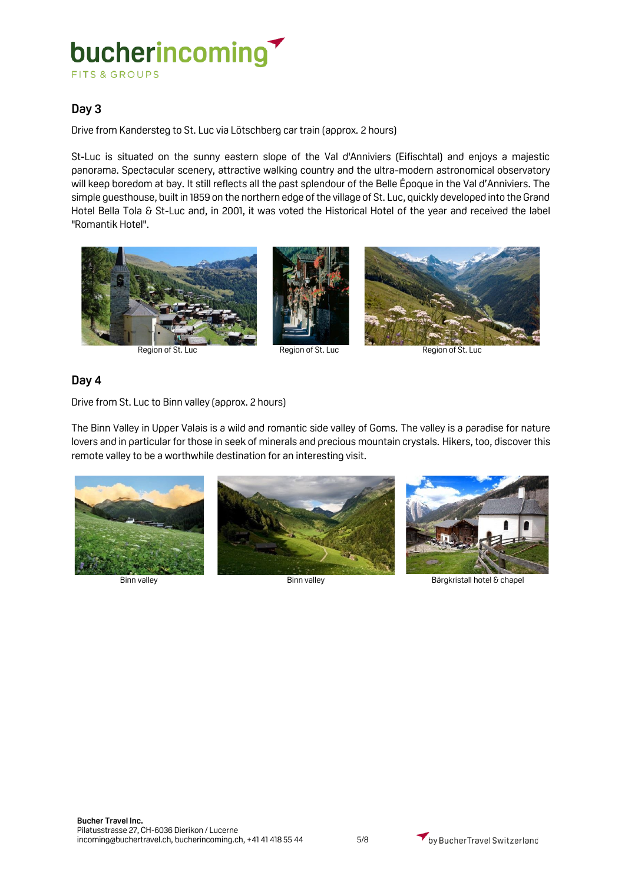### bucherincoming **FITS & GROUPS**

### **Day 3**

Drive from Kandersteg to St. Luc via Lötschberg car train (approx. 2 hours)

St-Luc is situated on the sunny eastern slope of the Val d'Anniviers (Eifischtal) and enjoys a majestic panorama. Spectacular scenery, attractive walking country and the ultra-modern astronomical observatory will keep boredom at bay. It still reflects all the past splendour of the Belle Époque in the Val d'Anniviers. The simple guesthouse, built in 1859 on the northern edge of the village of St. Luc, quickly developed into the Grand Hotel Bella Tola & St-Luc and, in 2001, it was voted the Historical Hotel of the year and received the label "Romantik Hotel".







Region of St. Luc Region of St. Luc Region of St. Luc

### **Day 4**

Drive from St. Luc to Binn valley (approx. 2 hours)

The Binn Valley in Upper Valais is a wild and romantic side valley of Goms. The valley is a paradise for nature lovers and in particular for those in seek of minerals and precious mountain crystals. Hikers, too, discover this remote valley to be a worthwhile destination for an interesting visit.



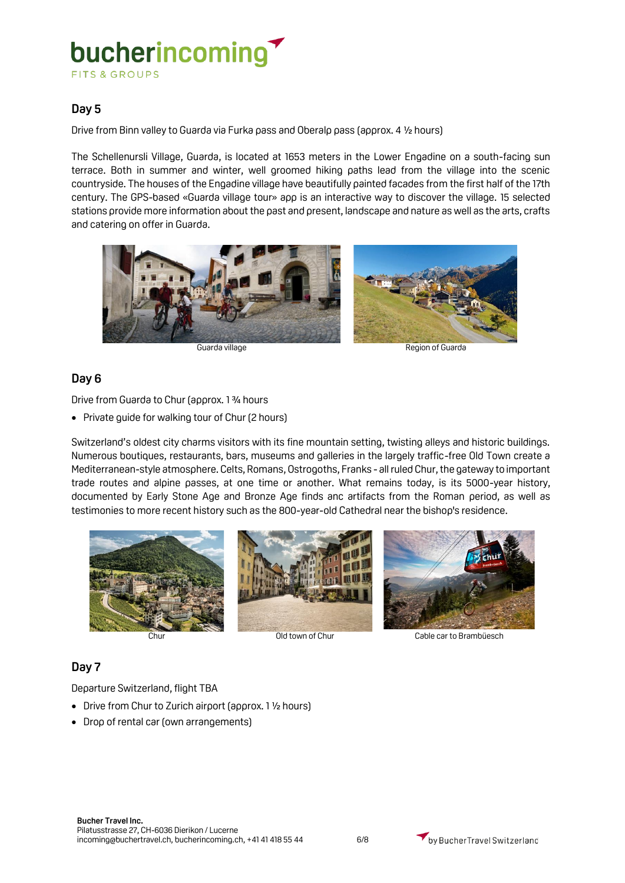### bucherincoming **FITS & GROUPS**

### **Day 5**

Drive from Binn valley to Guarda via Furka pass and Oberalp pass (approx. 4 ½ hours)

The Schellenursli Village, Guarda, is located at 1653 meters in the Lower Engadine on a south-facing sun terrace. Both in summer and winter, well groomed hiking paths lead from the village into the scenic countryside. The houses of the Engadine village have beautifully painted facades from the first half of the 17th century. The GPS-based «Guarda village tour» app is an interactive way to discover the village. 15 selected stations provide more information about the past and present, landscape and nature as well as the arts, crafts and catering on offer in Guarda.





Guarda village **Region of Guarda** 

### **Day 6**

Drive from Guarda to Chur (approx. 1 ¾ hours

• Private guide for walking tour of Chur (2 hours)

Switzerland's oldest city charms visitors with its fine mountain setting, twisting alleys and historic buildings. Numerous boutiques, restaurants, bars, museums and galleries in the largely traffic-free Old Town create a Mediterranean-style atmosphere. Celts, Romans, Ostrogoths, Franks - all ruled Chur, the gateway to important trade routes and alpine passes, at one time or another. What remains today, is its 5000-year history, documented by Early Stone Age and Bronze Age finds anc artifacts from the Roman period, as well as testimonies to more recent history such as the 800-year-old Cathedral near the bishop's residence.





### **Day 7**

Departure Switzerland, flight TBA

- Drive from Chur to Zurich airport (approx. 1 1/2 hours)
- Drop of rental car (own arrangements)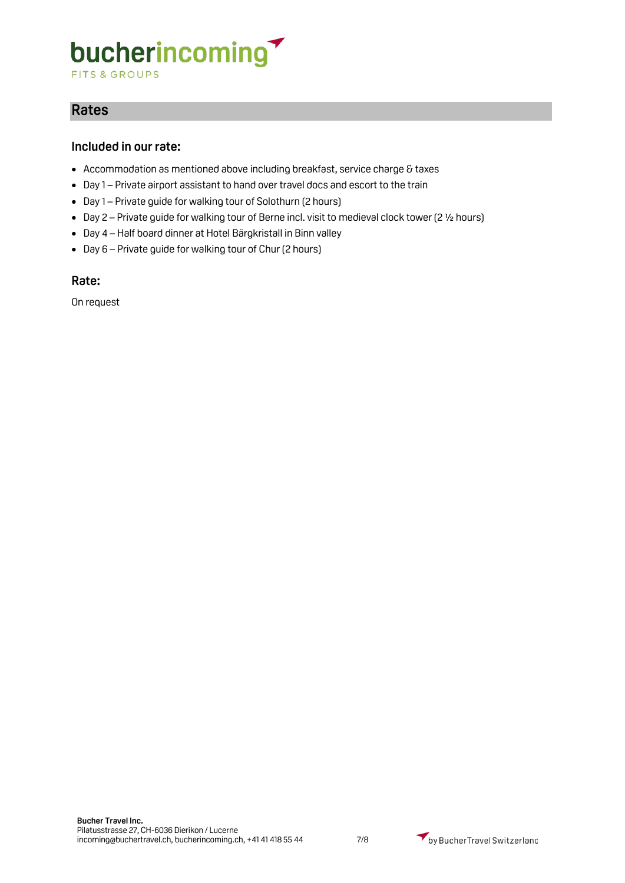**FITS & GROUPS** 

### **Rates**

### **Included in our rate:**

- Accommodation as mentioned above including breakfast, service charge & taxes
- Day 1 Private airport assistant to hand over travel docs and escort to the train
- Day 1 Private guide for walking tour of Solothurn (2 hours)
- Day 2 Private guide for walking tour of Berne incl. visit to medieval clock tower (2 ½ hours)
- Day 4 Half board dinner at Hotel Bärgkristall in Binn valley
- Day 6 Private guide for walking tour of Chur (2 hours)

### **Rate:**

On request